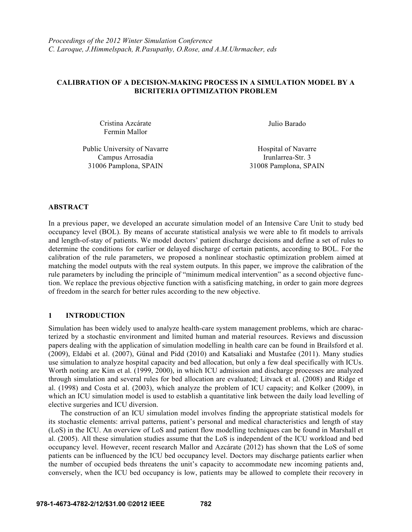# **CALIBRATION OF A DECISION-MAKING PROCESS IN A SIMULATION MODEL BY A BICRITERIA OPTIMIZATION PROBLEM**

Cristina Azcárate Fermin Mallor

Julio Barado

Public University of Navarre **Hospital School** Hospital of Navarre Campus Arrosadia Irunlarrea-Str. 3 31006 Pamplona, SPAIN 31008 Pamplona, SPAIN

# **ABSTRACT**

In a previous paper, we developed an accurate simulation model of an Intensive Care Unit to study bed occupancy level (BOL). By means of accurate statistical analysis we were able to fit models to arrivals and length-of-stay of patients. We model doctors' patient discharge decisions and define a set of rules to determine the conditions for earlier or delayed discharge of certain patients, according to BOL. For the calibration of the rule parameters, we proposed a nonlinear stochastic optimization problem aimed at matching the model outputs with the real system outputs. In this paper, we improve the calibration of the rule parameters by including the principle of "minimum medical intervention" as a second objective function. We replace the previous objective function with a satisficing matching, in order to gain more degrees of freedom in the search for better rules according to the new objective.

# **1 INTRODUCTION**

Simulation has been widely used to analyze health-care system management problems, which are characterized by a stochastic environment and limited human and material resources. Reviews and discussion papers dealing with the application of simulation modelling in health care can be found in Brailsford et al. (2009), Eldabi et al. (2007), Günal and Pidd (2010) and Katsaliaki and Mustafee (2011). Many studies use simulation to analyze hospital capacity and bed allocation, but only a few deal specifically with ICUs. Worth noting are Kim et al. (1999, 2000), in which ICU admission and discharge processes are analyzed through simulation and several rules for bed allocation are evaluated; Litvack et al. (2008) and Ridge et al. (1998) and Costa et al. (2003), which analyze the problem of ICU capacity; and Kolker (2009), in which an ICU simulation model is used to establish a quantitative link between the daily load levelling of elective surgeries and ICU diversion.

 The construction of an ICU simulation model involves finding the appropriate statistical models for its stochastic elements: arrival patterns, patient's personal and medical characteristics and length of stay (LoS) in the ICU. An overview of LoS and patient flow modelling techniques can be found in Marshall et al. (2005). All these simulation studies assume that the LoS is independent of the ICU workload and bed occupancy level. However, recent research Mallor and Azcárate (2012) has shown that the LoS of some patients can be influenced by the ICU bed occupancy level. Doctors may discharge patients earlier when the number of occupied beds threatens the unit's capacity to accommodate new incoming patients and, conversely, when the ICU bed occupancy is low, patients may be allowed to complete their recovery in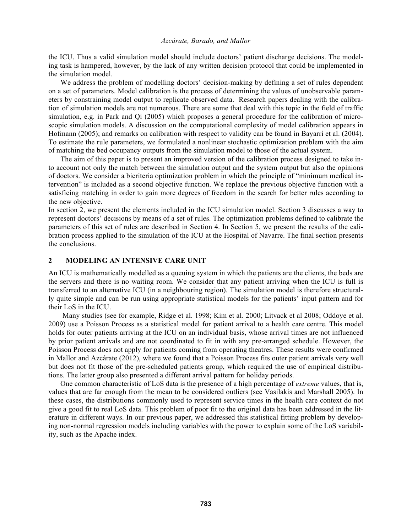the ICU. Thus a valid simulation model should include doctors' patient discharge decisions. The modeling task is hampered, however, by the lack of any written decision protocol that could be implemented in the simulation model.

 We address the problem of modelling doctors' decision-making by defining a set of rules dependent on a set of parameters. Model calibration is the process of determining the values of unobservable parameters by constraining model output to replicate observed data. Research papers dealing with the calibration of simulation models are not numerous. There are some that deal with this topic in the field of traffic simulation, e.g. in Park and Qi (2005) which proposes a general procedure for the calibration of microscopic simulation models. A discussion on the computational complexity of model calibration appears in Hofmann (2005); and remarks on calibration with respect to validity can be found in Bayarri et al. (2004). To estimate the rule parameters, we formulated a nonlinear stochastic optimization problem with the aim of matching the bed occupancy outputs from the simulation model to those of the actual system.

 The aim of this paper is to present an improved version of the calibration process designed to take into account not only the match between the simulation output and the system output but also the opinions of doctors. We consider a bicriteria optimization problem in which the principle of "minimum medical intervention" is included as a second objective function. We replace the previous objective function with a satisficing matching in order to gain more degrees of freedom in the search for better rules according to the new objective.

In section 2, we present the elements included in the ICU simulation model. Section 3 discusses a way to represent doctors' decisions by means of a set of rules. The optimization problems defined to calibrate the parameters of this set of rules are described in Section 4. In Section 5, we present the results of the calibration process applied to the simulation of the ICU at the Hospital of Navarre. The final section presents the conclusions.

### **2 MODELING AN INTENSIVE CARE UNIT**

An ICU is mathematically modelled as a queuing system in which the patients are the clients, the beds are the servers and there is no waiting room. We consider that any patient arriving when the ICU is full is transferred to an alternative ICU (in a neighbouring region). The simulation model is therefore structurally quite simple and can be run using appropriate statistical models for the patients' input pattern and for their LoS in the ICU.

Many studies (see for example, Ridge et al. 1998; Kim et al. 2000; Litvack et al 2008; Oddoye et al. 2009) use a Poisson Process as a statistical model for patient arrival to a health care centre. This model holds for outer patients arriving at the ICU on an individual basis, whose arrival times are not influenced by prior patient arrivals and are not coordinated to fit in with any pre-arranged schedule. However, the Poisson Process does not apply for patients coming from operating theatres. These results were confirmed in Mallor and Azcárate (2012), where we found that a Poisson Process fits outer patient arrivals very well but does not fit those of the pre-scheduled patients group, which required the use of empirical distributions. The latter group also presented a different arrival pattern for holiday periods.

One common characteristic of LoS data is the presence of a high percentage of *extreme* values, that is, values that are far enough from the mean to be considered outliers (see Vasilakis and Marshall 2005). In these cases, the distributions commonly used to represent service times in the health care context do not give a good fit to real LoS data. This problem of poor fit to the original data has been addressed in the literature in different ways. In our previous paper, we addressed this statistical fitting problem by developing non-normal regression models including variables with the power to explain some of the LoS variability, such as the Apache index.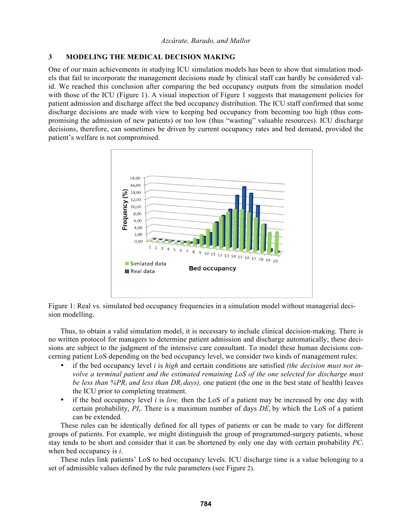# **3 MODELING THE MEDICAL DECISION MAKING**

One of our main achievements in studying ICU simulation models has been to show that simulation models that fail to incorporate the management decisions made by clinical staff can hardly be considered valid. We reached this conclusion after comparing the bed occupancy outputs from the simulation model with those of the ICU (Figure 1). A visual inspection of Figure 1 suggests that management policies for patient admission and discharge affect the bed occupancy distribution. The ICU staff confirmed that some discharge decisions are made with view to keeping bed occupancy from becoming too high (thus compromising the admission of new patients) or too low (thus "wasting" valuable resources). ICU discharge decisions, therefore, can sometimes be driven by current occupancy rates and bed demand, provided the patient's welfare is not compromised.



Figure 1: Real vs. simulated bed occupancy frequencies in a simulation model without managerial decision modelling.

Thus, to obtain a valid simulation model, it is necessary to include clinical decision-making. There is no written protocol for managers to determine patient admission and discharge automatically; these decisions are subject to the judgment of the intensive care consultant. To model these human decisions concerning patient LoS depending on the bed occupancy level, we consider two kinds of management rules:

- if the bed occupancy level *i* is *high* and certain conditions are satisfied *(the decision must not involve a terminal patient and the estimated remaining LoS of the one selected for discharge must be less than %PRi and less than DRi days),* one patient (the one in the best state of health) leaves the ICU prior to completing treatment.
- if the bed occupancy level *i* is *low,* then the LoS of a patient may be increased by one day with certain probability,  $PI_i$ . There is a maximum number of days  $DE_i$  by which the LoS of a patient can be extended.

These rules can be identically defined for all types of patients or can be made to vary for different groups of patients. For example, we might distinguish the group of programmed-surgery patients, whose stay tends to be short and consider that it can be shortened by only one day with certain probability  $PC<sub>i</sub>$ when bed occupancy is *i*.

These rules link patients' LoS to bed occupancy levels. ICU discharge time is a value belonging to a set of admissible values defined by the rule parameters (see Figure 2).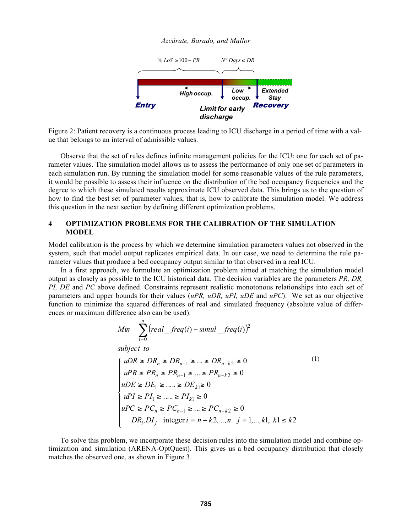

Figure 2: Patient recovery is a continuous process leading to ICU discharge in a period of time with a value that belongs to an interval of admissible values.

Observe that the set of rules defines infinite management policies for the ICU: one for each set of parameter values. The simulation model allows us to assess the performance of only one set of parameters in each simulation run. By running the simulation model for some reasonable values of the rule parameters, it would be possible to assess their influence on the distribution of the bed occupancy frequencies and the degree to which these simulated results approximate ICU observed data. This brings us to the question of how to find the best set of parameter values, that is, how to calibrate the simulation model. We address this question in the next section by defining different optimization problems.

# **4 OPTIMIZATION PROBLEMS FOR THE CALIBRATION OF THE SIMULATION MODEL**

Model calibration is the process by which we determine simulation parameters values not observed in the system, such that model output replicates empirical data. In our case, we need to determine the rule parameter values that produce a bed occupancy output similar to that observed in a real ICU.

In a first approach, we formulate an optimization problem aimed at matching the simulation model output as closely as possible to the ICU historical data. The decision variables are the parameters *PR, DR, PI, DE* and *PC* above defined. Constraints represent realistic monotonous relationships into each set of parameters and upper bounds for their values (*uPR, uDR, uPI, uDE* and *uPC*). We set as our objective function to minimize the squared differences of real and simulated frequency (absolute value of differences or maximum difference also can be used).

$$
Min \sum_{i=0}^{n} (real\_freq(i) - simul\_freq(i))^2
$$
\n
$$
subject \ to
$$
\n
$$
\begin{cases}\nuDR \ge DR_n \ge DR_{n-1} \ge ... \ge DR_{n-k2} \ge 0 \\
uPR \ge PR_n \ge PR_{n-1} \ge ... \ge PR_{n-k2} \ge 0 \\
uDE \ge DE_1 \ge ... \ge DE_{k1} \ge 0 \\
uPI \ge PI_1 \ge ... \ge PI_{k1} \ge 0 \\
uPC \ge PC_n \ge PC_{n-1} \ge ... \ge PC_{n-k2} \ge 0 \\
DR_i, DI_j \quad \text{integer } i = n - k2, ..., n \quad j = 1, ..., k1, \ k1 \le k2\n\end{cases}
$$
\n(1)

To solve this problem, we incorporate these decision rules into the simulation model and combine optimization and simulation (ARENA-OptQuest). This gives us a bed occupancy distribution that closely matches the observed one, as shown in Figure 3.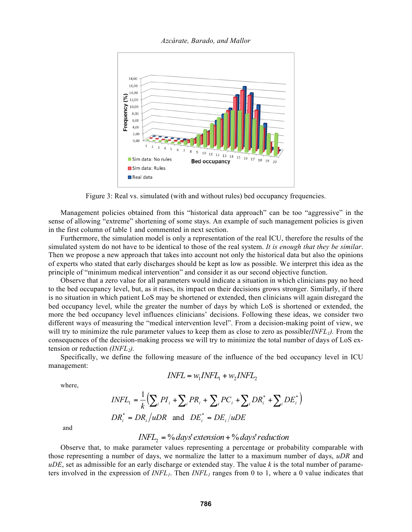*Azcárate, Barado, and Mallor* 



Figure 3: Real vs. simulated (with and without rules) bed occupancy frequencies.

Management policies obtained from this "historical data approach" can be too "aggressive" in the sense of allowing "extreme" shortening of some stays. An example of such management policies is given in the first column of table 1 and commented in next section.

Furthermore, the simulation model is only a representation of the real ICU, therefore the results of the simulated system do not have to be identical to those of the real system. *It is enough that they be similar*. Then we propose a new approach that takes into account not only the historical data but also the opinions of experts who stated that early discharges should be kept as low as possible. We interpret this idea as the principle of "minimum medical intervention" and consider it as our second objective function.

Observe that a zero value for all parameters would indicate a situation in which clinicians pay no heed to the bed occupancy level, but, as it rises, its impact on their decisions grows stronger. Similarly, if there is no situation in which patient LoS may be shortened or extended, then clinicians will again disregard the bed occupancy level, while the greater the number of days by which LoS is shortened or extended, the more the bed occupancy level influences clinicians' decisions. Following these ideas, we consider two different ways of measuring the "medical intervention level". From a decision-making point of view, we will try to minimize the rule parameter values to keep them as close to zero as possible*(INFL<sub>1</sub>)*. From the consequences of the decision-making process we will try to minimize the total number of days of LoS extension or reduction *(INFL<sub>2</sub>)*.

Specifically, we define the following measure of the influence of the bed occupancy level in ICU management:

$$
INFL = w_1 INFL_1 + w_2 INFL_2
$$

where,

$$
INFL_1 = \frac{1}{k} \Big( \sum_i PI_i + \sum_i PR_i + \sum_i PC_i + \sum_i DR_i^* + \sum_i DE_i^* \Big)
$$
  

$$
DR_i^* = DR_i \Big/ uDR \text{ and } DE_i^* = DE_i \Big/ uDE
$$

and

# *INFL*<sub>2</sub> = %*days' extension* + % *days' reduction*

Observe that, to make parameter values representing a percentage or probability comparable with those representing a number of days, we normalize the latter to a maximum number of days, *uDR* and *uDE*, set as admissible for an early discharge or extended stay. The value *k* is the total number of parameters involved in the expression of *INFL1*. Then *INFL1* ranges from 0 to 1, where a 0 value indicates that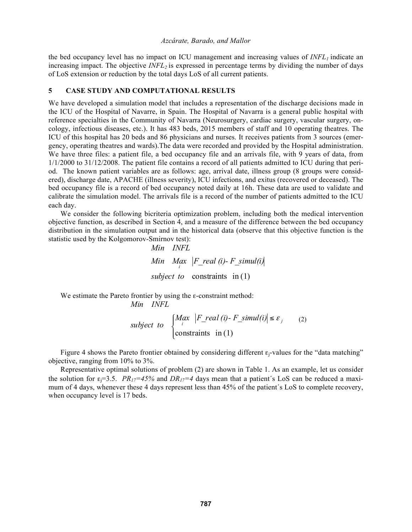the bed occupancy level has no impact on ICU management and increasing values of *INFL<sub>1</sub>* indicate an increasing impact. The objective *INFL2* is expressed in percentage terms by dividing the number of days of LoS extension or reduction by the total days LoS of all current patients.

### **5 CASE STUDY AND COMPUTATIONAL RESULTS**

We have developed a simulation model that includes a representation of the discharge decisions made in the ICU of the Hospital of Navarre, in Spain. The Hospital of Navarra is a general public hospital with reference specialties in the Community of Navarra (Neurosurgery, cardiac surgery, vascular surgery, oncology, infectious diseases, etc.). It has 483 beds, 2015 members of staff and 10 operating theatres. The ICU of this hospital has 20 beds and 86 physicians and nurses. It receives patients from 3 sources (emergency, operating theatres and wards).The data were recorded and provided by the Hospital administration. We have three files: a patient file, a bed occupancy file and an arrivals file, with 9 years of data, from 1/1/2000 to 31/12/2008. The patient file contains a record of all patients admitted to ICU during that period. The known patient variables are as follows: age, arrival date, illness group (8 groups were considered), discharge date, APACHE (illness severity), ICU infections, and exitus (recovered or deceased). The bed occupancy file is a record of bed occupancy noted daily at 16h. These data are used to validate and calibrate the simulation model. The arrivals file is a record of the number of patients admitted to the ICU each day.

We consider the following bicriteria optimization problem, including both the medical intervention objective function, as described in Section 4, and a measure of the difference between the bed occupancy distribution in the simulation output and in the historical data (observe that this objective function is the statistic used by the Kolgomorov-Smirnov test):

> subject to constraints in (1) *Min Max F\_real (i)- F\_simul(i) i Min INFL*

We estimate the Pareto frontier by using the ε-constraint method: *Min INFL*

subject to 
$$
\begin{cases} \nMax \ \left| F_{\text{real}}(i) - F_{\text{simul}}(i) \right| \le \varepsilon_j & (2) \\ \n\text{constraints in (1)} \n\end{cases}
$$

Figure 4 shows the Pareto frontier obtained by considering different  $\varepsilon_i$ -values for the "data matching" objective, ranging from 10% to 3%.

Representative optimal solutions of problem (2) are shown in Table 1. As an example, let us consider the solution for  $\varepsilon_i = 3.5$ . *PR<sub>17</sub>*=45% and *DR<sub>17</sub>*=4 days mean that a patient's LoS can be reduced a maximum of 4 days, whenever these 4 days represent less than 45% of the patient´s LoS to complete recovery, when occupancy level is 17 beds.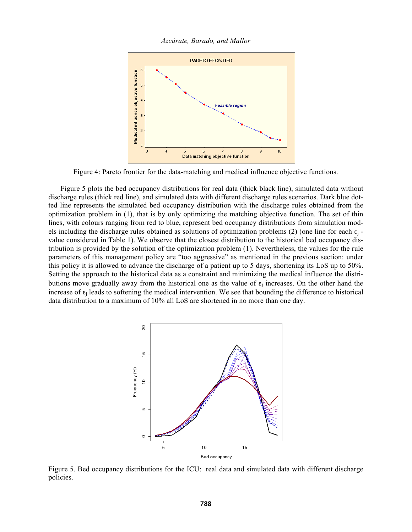*Azcárate, Barado, and Mallor* 



Figure 4: Pareto frontier for the data-matching and medical influence objective functions.

Figure 5 plots the bed occupancy distributions for real data (thick black line), simulated data without discharge rules (thick red line), and simulated data with different discharge rules scenarios. Dark blue dotted line represents the simulated bed occupancy distribution with the discharge rules obtained from the optimization problem in (1), that is by only optimizing the matching objective function. The set of thin lines, with colours ranging from red to blue, represent bed occupancy distributions from simulation models including the discharge rules obtained as solutions of optimization problems (2) (one line for each εj value considered in Table 1). We observe that the closest distribution to the historical bed occupancy distribution is provided by the solution of the optimization problem (1). Nevertheless, the values for the rule parameters of this management policy are "too aggressive" as mentioned in the previous section: under this policy it is allowed to advance the discharge of a patient up to 5 days, shortening its LoS up to 50%. Setting the approach to the historical data as a constraint and minimizing the medical influence the distributions move gradually away from the historical one as the value of  $\varepsilon_i$  increases. On the other hand the increase of  $\varepsilon_i$  leads to softening the medical intervention. We see that bounding the difference to historical data distribution to a maximum of 10% all LoS are shortened in no more than one day.



Figure 5. Bed occupancy distributions for the ICU: real data and simulated data with different discharge policies.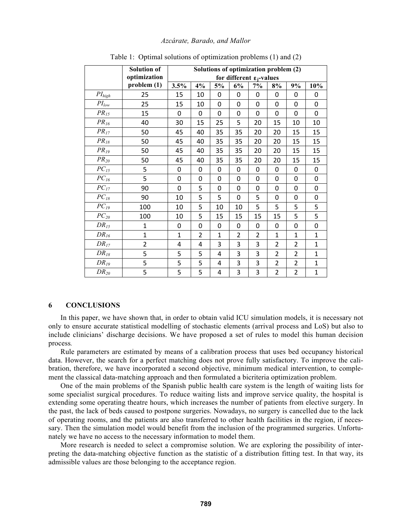|             | <b>Solution of</b><br>optimization | Solutions of optimization problem (2)<br>for different $\varepsilon_i$ -values |                |                |                |                |                |                |                |
|-------------|------------------------------------|--------------------------------------------------------------------------------|----------------|----------------|----------------|----------------|----------------|----------------|----------------|
|             | problem (1)                        | 3.5%                                                                           | 4%             | 5%             | 6%             | 7%             | 8%             | 9%             | 10%            |
| $PI_{high}$ | 25                                 | 15                                                                             | 10             | 0              | $\Omega$       | $\Omega$       | 0              | 0              | 0              |
| $PI_{low}$  | 25                                 | 15                                                                             | 10             | 0              | $\Omega$       | 0              | $\overline{0}$ | 0              | 0              |
| $PR_{15}$   | 15                                 | 0                                                                              | 0              | 0              | 0              | $\mathbf 0$    | $\mathbf 0$    | $\Omega$       | 0              |
| $PR_{16}$   | 40                                 | 30                                                                             | 15             | 25             | 5              | 20             | 15             | 10             | 10             |
| $PR_{17}$   | 50                                 | 45                                                                             | 40             | 35             | 35             | 20             | 20             | 15             | 15             |
| $PR_{18}$   | 50                                 | 45                                                                             | 40             | 35             | 35             | 20             | 20             | 15             | 15             |
| $PR_{19}$   | 50                                 | 45                                                                             | 40             | 35             | 35             | 20             | 20             | 15             | 15             |
| $PR_{20}$   | 50                                 | 45                                                                             | 40             | 35             | 35             | 20             | 20             | 15             | 15             |
| $PC_{15}$   | 5                                  | 0                                                                              | 0              | 0              | 0              | 0              | 0              | 0              | 0              |
| $PC_{16}$   | 5                                  | 0                                                                              | $\Omega$       | $\Omega$       | 0              | $\Omega$       | $\Omega$       | $\Omega$       | 0              |
| $PC_{17}$   | 90                                 | 0                                                                              | 5              | 0              | 0              | 0              | $\overline{0}$ | $\mathbf 0$    | $\mathbf 0$    |
| $PC_{18}$   | 90                                 | 10                                                                             | 5              | 5              | 0              | 5              | 0              | 0              | 0              |
| $PC_{19}$   | 100                                | 10                                                                             | 5              | 10             | 10             | 5              | 5              | 5              | 5              |
| $PC_{20}$   | 100                                | 10                                                                             | 5              | 15             | 15             | 15             | 15             | 5              | 5              |
| $DR_{15}$   | 1                                  | 0                                                                              | $\mathbf{0}$   | 0              | 0              | 0              | $\mathbf 0$    | 0              | 0              |
| $DR_{16}$   | $\mathbf{1}$                       | $\mathbf{1}$                                                                   | $\overline{2}$ | $\overline{1}$ | $\overline{2}$ | $\overline{2}$ | $\mathbf{1}$   | $\mathbf{1}$   | $\mathbf{1}$   |
| $DR_{17}$   | $\overline{2}$                     | 4                                                                              | 4              | 3              | 3              | 3              | $\overline{2}$ | $\overline{2}$ | $\mathbf{1}$   |
| $DR_{18}$   | 5                                  | 5                                                                              | 5              | 4              | 3              | 3              | $\overline{2}$ | $\overline{2}$ | $\mathbf{1}$   |
| $DR_{19}$   | 5                                  | 5                                                                              | 5              | 4              | 3              | 3              | $\overline{2}$ | $\overline{2}$ | $\mathbf{1}$   |
| $DR_{20}$   | 5                                  | 5                                                                              | 5              | 4              | 3              | 3              | $\overline{2}$ | $\overline{2}$ | $\overline{1}$ |

Table 1: Optimal solutions of optimization problems (1) and (2)

#### **6 CONCLUSIONS**

In this paper, we have shown that, in order to obtain valid ICU simulation models, it is necessary not only to ensure accurate statistical modelling of stochastic elements (arrival process and LoS) but also to include clinicians' discharge decisions. We have proposed a set of rules to model this human decision process*.*

Rule parameters are estimated by means of a calibration process that uses bed occupancy historical data. However, the search for a perfect matching does not prove fully satisfactory. To improve the calibration, therefore, we have incorporated a second objective, minimum medical intervention, to complement the classical data-matching approach and then formulated a bicriteria optimization problem.

One of the main problems of the Spanish public health care system is the length of waiting lists for some specialist surgical procedures. To reduce waiting lists and improve service quality, the hospital is extending some operating theatre hours, which increases the number of patients from elective surgery. In the past, the lack of beds caused to postpone surgeries. Nowadays, no surgery is cancelled due to the lack of operating rooms, and the patients are also transferred to other health facilities in the region, if necessary. Then the simulation model would benefit from the inclusion of the programmed surgeries. Unfortunately we have no access to the necessary information to model them.

More research is needed to select a compromise solution. We are exploring the possibility of interpreting the data-matching objective function as the statistic of a distribution fitting test. In that way, its admissible values are those belonging to the acceptance region.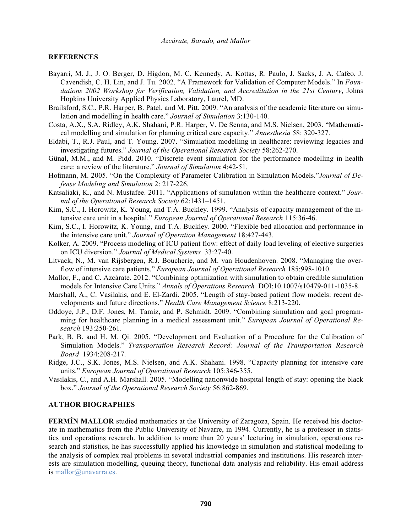#### **REFERENCES**

- Bayarri, M. J., J. O. Berger, D. Higdon, M. C. Kennedy, A. Kottas, R. Paulo, J. Sacks, J. A. Cafeo, J. Cavendish, C. H. Lin, and J. Tu. 2002. "A Framework for Validation of Computer Models." In *Foundations 2002 Workshop for Verification, Validation, and Accreditation in the 21st Century*, Johns Hopkins University Applied Physics Laboratory, Laurel, MD.
- Brailsford, S.C., P.R. Harper, B. Patel, and M. Pitt. 2009. "An analysis of the academic literature on simulation and modelling in health care." *Journal of Simulation* 3:130-140.
- Costa, A.X., S.A. Ridley, A.K. Shahani, P.R. Harper, V. De Senna, and M.S. Nielsen, 2003. "Mathematical modelling and simulation for planning critical care capacity." *Anaesthesia* 58: 320-327.
- Eldabi, T., R.J. Paul, and T. Young. 2007. "Simulation modelling in healthcare: reviewing legacies and investigating futures." *Journal of the Operational Research Society* 58:262-270.
- Günal, M.M., and M. Pidd. 2010. "Discrete event simulation for the performance modelling in health care: a review of the literature." *Journal of Simulation* 4:42-51.
- Hofmann, M. 2005. "On the Complexity of Parameter Calibration in Simulation Models."*Journal of Defense Modeling and Simulation* 2: 217-226.
- Katsaliaki, K., and N. Mustafee. 2011. "Applications of simulation within the healthcare context." *Journal of the Operational Research Society* 62:1431–1451.
- Kim, S.C., I. Horowitz, K. Young, and T.A. Buckley. 1999. "Analysis of capacity management of the intensive care unit in a hospital." *European Journal of Operational Research* 115:36-46.
- Kim, S.C., I. Horowitz, K. Young, and T.A. Buckley. 2000. "Flexible bed allocation and performance in the intensive care unit." *Journal of Operation Management* 18:427-443.
- Kolker, A. 2009. "Process modeling of ICU patient flow: effect of daily load leveling of elective surgeries on ICU diversion." *Journal of Medical Systems* 33:27-40.
- Litvack, N., M. van Rijsbergen, R.J. Boucherie, and M. van Houdenhoven. 2008. "Managing the overflow of intensive care patients." *European Journal of Operational Research* 185:998-1010.
- Mallor, F., and C. Azcárate. 2012. "Combining optimization with simulation to obtain credible simulation models for Intensive Care Units." *Annals of Operations Research* DOI:10.1007/s10479-011-1035-8.
- Marshall, A., C. Vasilakis, and E. El-Zardi. 2005. "Length of stay-based patient flow models: recent developments and future directions." *Health Care Management Science* 8:213-220.
- Oddoye, J.P., D.F. Jones, M. Tamiz, and P. Schmidt. 2009. "Combining simulation and goal programming for healthcare planning in a medical assessment unit." *European Journal of Operational Research* 193:250-261.
- Park, B. B. and H. M. Qi. 2005. "Development and Evaluation of a Procedure for the Calibration of Simulation Models." *Transportation Research Record: Journal of the Transportation Research Board* 1934:208-217.
- Ridge, J.C., S.K. Jones, M.S. Nielsen, and A.K. Shahani. 1998. "Capacity planning for intensive care units." *European Journal of Operational Research* 105:346-355.
- Vasilakis, C., and A.H. Marshall. 2005. "Modelling nationwide hospital length of stay: opening the black box." *Journal of the Operational Research Society* 56:862-869.

### **AUTHOR BIOGRAPHIES**

**FERMÍN MALLOR** studied mathematics at the University of Zaragoza, Spain. He received his doctorate in mathematics from the Public University of Navarre, in 1994. Currently, he is a professor in statistics and operations research. In addition to more than 20 years' lecturing in simulation, operations research and statistics, he has successfully applied his knowledge in simulation and statistical modelling to the analysis of complex real problems in several industrial companies and institutions. His research interests are simulation modelling, queuing theory, functional data analysis and reliability. His email address is mallor@unavarra.es.